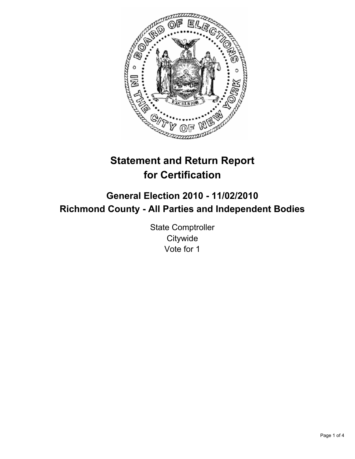

# **Statement and Return Report for Certification**

## **General Election 2010 - 11/02/2010 Richmond County - All Parties and Independent Bodies**

State Comptroller **Citywide** Vote for 1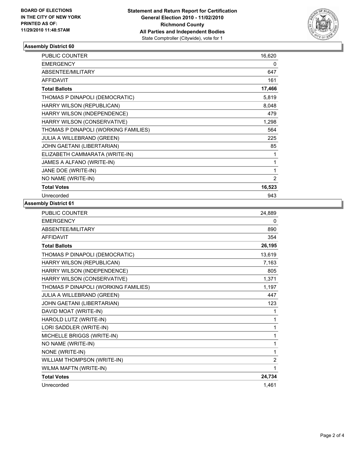

### **Assembly District 60**

| <b>PUBLIC COUNTER</b>                | 16,620 |
|--------------------------------------|--------|
| <b>EMERGENCY</b>                     | 0      |
| ABSENTEE/MILITARY                    | 647    |
| <b>AFFIDAVIT</b>                     | 161    |
| <b>Total Ballots</b>                 | 17,466 |
| THOMAS P DINAPOLI (DEMOCRATIC)       | 5,819  |
| HARRY WILSON (REPUBLICAN)            | 8,048  |
| HARRY WILSON (INDEPENDENCE)          | 479    |
| HARRY WILSON (CONSERVATIVE)          | 1,298  |
| THOMAS P DINAPOLI (WORKING FAMILIES) | 564    |
| <b>JULIA A WILLEBRAND (GREEN)</b>    | 225    |
| JOHN GAETANI (LIBERTARIAN)           | 85     |
| ELIZABETH CAMMARATA (WRITE-IN)       | 1      |
| JAMES A ALFANO (WRITE-IN)            | 1      |
| JANE DOE (WRITE-IN)                  | 1      |
| NO NAME (WRITE-IN)                   | 2      |
| <b>Total Votes</b>                   | 16,523 |
| Unrecorded                           | 943    |

#### **Assembly District 61**

| <b>PUBLIC COUNTER</b>                | 24,889         |
|--------------------------------------|----------------|
| <b>EMERGENCY</b>                     | 0              |
| ABSENTEE/MILITARY                    | 890            |
| <b>AFFIDAVIT</b>                     | 354            |
| <b>Total Ballots</b>                 | 26,195         |
| THOMAS P DINAPOLI (DEMOCRATIC)       | 13,619         |
| HARRY WILSON (REPUBLICAN)            | 7,163          |
| HARRY WILSON (INDEPENDENCE)          | 805            |
| HARRY WILSON (CONSERVATIVE)          | 1,371          |
| THOMAS P DINAPOLI (WORKING FAMILIES) | 1,197          |
| JULIA A WILLEBRAND (GREEN)           | 447            |
| JOHN GAETANI (LIBERTARIAN)           | 123            |
| DAVID MOAT (WRITE-IN)                | 1              |
| HAROLD LUTZ (WRITE-IN)               | 1              |
| LORI SADDLER (WRITE-IN)              | 1              |
| MICHELLE BRIGGS (WRITE-IN)           | 1              |
| NO NAME (WRITE-IN)                   | 1              |
| NONE (WRITE-IN)                      | 1              |
| WILLIAM THOMPSON (WRITE-IN)          | $\overline{2}$ |
| WILMA MAFTN (WRITE-IN)               | 1              |
| <b>Total Votes</b>                   | 24,734         |
| Unrecorded                           | 1,461          |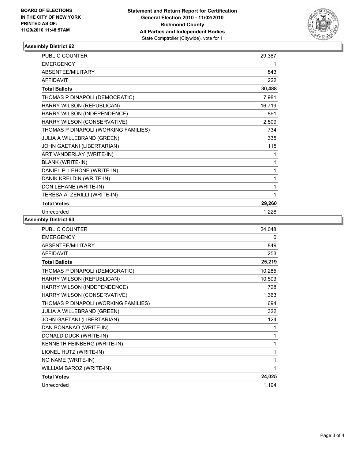

### **Assembly District 62**

| <b>PUBLIC COUNTER</b>                | 29,387 |
|--------------------------------------|--------|
| <b>EMERGENCY</b>                     | 1      |
| ABSENTEE/MILITARY                    | 843    |
| <b>AFFIDAVIT</b>                     | 222    |
| <b>Total Ballots</b>                 | 30,488 |
| THOMAS P DINAPOLI (DEMOCRATIC)       | 7,981  |
| HARRY WILSON (REPUBLICAN)            | 16,719 |
| HARRY WILSON (INDEPENDENCE)          | 861    |
| HARRY WILSON (CONSERVATIVE)          | 2,509  |
| THOMAS P DINAPOLI (WORKING FAMILIES) | 734    |
| JULIA A WILLEBRAND (GREEN)           | 335    |
| JOHN GAETANI (LIBERTARIAN)           | 115    |
| ART VANDERLAY (WRITE-IN)             | 1      |
| <b>BLANK (WRITE-IN)</b>              | 1      |
| DANIEL P. LEHONE (WRITE-IN)          | 1      |
| DANIK KRELDIN (WRITE-IN)             | 1      |
| DON LEHANE (WRITE-IN)                | 1      |
| TERESA A. ZERILLI (WRITE-IN)         | 1      |
| <b>Total Votes</b>                   | 29,260 |
| Unrecorded                           | 1,228  |

**Assembly District 63**

| <b>PUBLIC COUNTER</b>                | 24,048 |
|--------------------------------------|--------|
| <b>EMERGENCY</b>                     | 0      |
| ABSENTEE/MILITARY                    | 849    |
| <b>AFFIDAVIT</b>                     | 253    |
| <b>Total Ballots</b>                 | 25,219 |
| THOMAS P DINAPOLI (DEMOCRATIC)       | 10,285 |
| HARRY WILSON (REPUBLICAN)            | 10,503 |
| HARRY WILSON (INDEPENDENCE)          | 728    |
| HARRY WILSON (CONSERVATIVE)          | 1,363  |
| THOMAS P DINAPOLI (WORKING FAMILIES) | 694    |
| <b>JULIA A WILLEBRAND (GREEN)</b>    | 322    |
| JOHN GAETANI (LIBERTARIAN)           | 124    |
| DAN BONANAO (WRITE-IN)               | 1      |
| DONALD DUCK (WRITE-IN)               | 1      |
| KENNETH FEINBERG (WRITE-IN)          | 1      |
| LIONEL HUTZ (WRITE-IN)               | 1      |
| NO NAME (WRITE-IN)                   | 1      |
| WILLIAM BAROZ (WRITE-IN)             | 1      |
| <b>Total Votes</b>                   | 24,025 |
| Unrecorded                           | 1,194  |